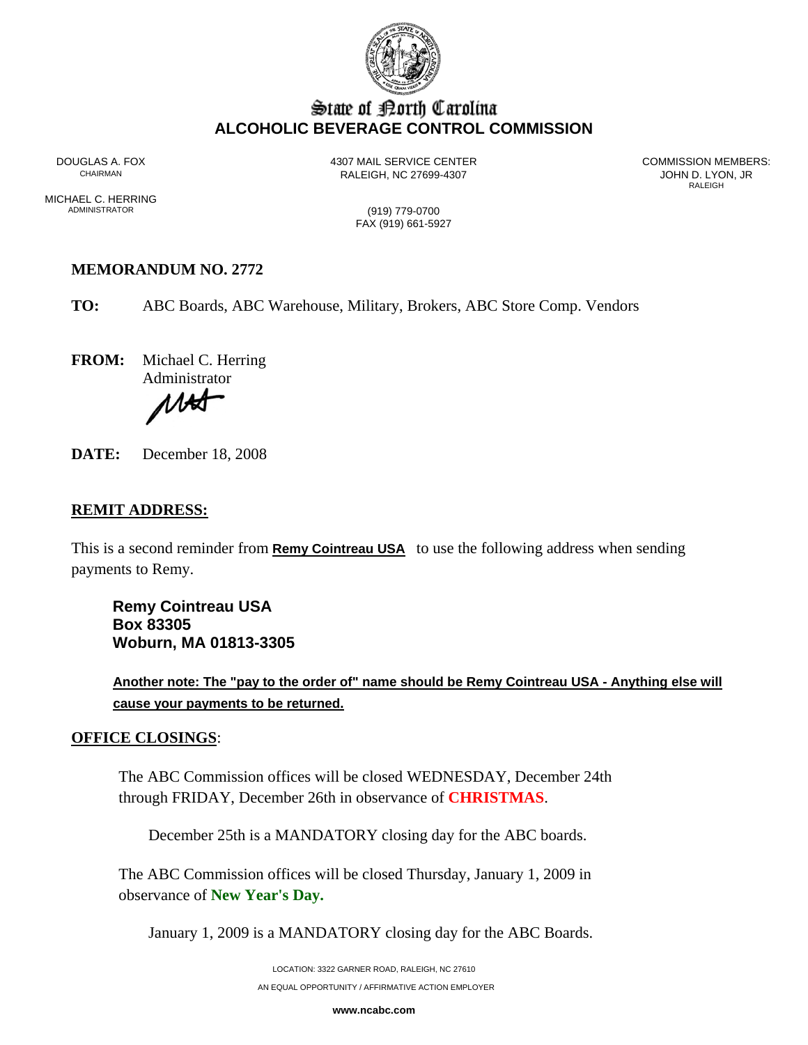

# State of Borth Carolina **ALCOHOLIC BEVERAGE CONTROL COMMISSION**

DOUGLAS A. FOX 4307 MAIL SERVICE CENTER COMMISSION MEMBERS: RALEIGH, NC 27699-4307<br>RALEIGH

**RALEIGH** 

MICHAEL C. HERRING<br>ADMINISTRATOR

(919) 779-0700 FAX (919) 661-5927

## **MEMORANDUM NO. 2772**

**TO:** ABC Boards, ABC Warehouse, Military, Brokers, ABC Store Comp. Vendors

**FROM:** Michael C. Herring

Administrator

1 ASA

**DATE:** December 18, 2008

### **REMIT ADDRESS:**

This is a second reminder from **Remy Cointreau USA** to use the following address when sending payments to Remy.

**Remy Cointreau USA Box 83305 Woburn, MA 01813-3305**

**Another note: The "pay to the order of" name should be Remy Cointreau USA - Anything else will cause your payments to be returned.** 

#### **OFFICE CLOSINGS**:

The ABC Commission offices will be closed WEDNESDAY, December 24th through FRIDAY, December 26th in observance of **CHRISTMAS**.

December 25th is a MANDATORY closing day for the ABC boards.

The ABC Commission offices will be closed Thursday, January 1, 2009 in observance of **New Year's Day.** 

January 1, 2009 is a MANDATORY closing day for the ABC Boards.

LOCATION: 3322 GARNER ROAD, RALEIGH, NC 27610 AN EQUAL OPPORTUNITY / AFFIRMATIVE ACTION EMPLOYER

**www.ncabc.com**